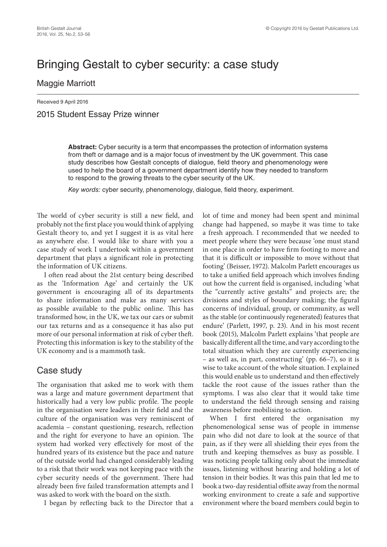# Bringing Gestalt to cyber security: a case study

#### Maggie Marriott

Received 9 April 2016 2015 Student Essay Prize winner

> **Abstract:** Cyber security is a term that encompasses the protection of information systems from theft or damage and is a major focus of investment by the UK government. This case study describes how Gestalt concepts of dialogue, field theory and phenomenology were used to help the board of a government department identify how they needed to transform to respond to the growing threats to the cyber security of the UK.

*Key words:* cyber security, phenomenology, dialogue, field theory, experiment.

The world of cyber security is still a new field, and probably not the first place you would think of applying Gestalt theory to, and yet I suggest it is as vital here as anywhere else. I would like to share with you a case study of work I undertook within a government department that plays a significant role in protecting the information of UK citizens.

I often read about the 21st century being described as the 'Information Age' and certainly the UK government is encouraging all of its departments to share information and make as many services as possible available to the public online. This has transformed how, in the UK, we tax our cars or submit our tax returns and as a consequence it has also put more of our personal information at risk of cyber theft. Protecting this information is key to the stability of the UK economy and is a mammoth task.

### Case study

The organisation that asked me to work with them was a large and mature government department that historically had a very low public profile. The people in the organisation were leaders in their field and the culture of the organisation was very reminiscent of academia – constant questioning, research, reflection and the right for everyone to have an opinion. The system had worked very effectively for most of the hundred years of its existence but the pace and nature of the outside world had changed considerably leading to a risk that their work was not keeping pace with the cyber security needs of the government. There had already been five failed transformation attempts and I was asked to work with the board on the sixth.

I began by reflecting back to the Director that a

lot of time and money had been spent and minimal change had happened, so maybe it was time to take a fresh approach. I recommended that we needed to meet people where they were because 'one must stand in one place in order to have firm footing to move and that it is difficult or impossible to move without that footing' (Beisser, 1972). Malcolm Parlett encourages us to take a unified field approach which involves finding out how the current field is organised, including 'what the "currently active gestalts" and projects are; the divisions and styles of boundary making; the figural concerns of individual, group, or community, as well as the stable (or continuously regenerated) features that endure' (Parlett, 1997, p. 23). And in his most recent book (2015), Malcolm Parlett explains 'that people are basically different all the time, and vary according to the total situation which they are currently experiencing – as well as, in part, constructing' (pp. 66–7), so it is wise to take account of the whole situation. I explained this would enable us to understand and then effectively tackle the root cause of the issues rather than the symptoms. I was also clear that it would take time to understand the field through sensing and raising awareness before mobilising to action.

When I first entered the organisation my phenomenological sense was of people in immense pain who did not dare to look at the source of that pain, as if they were all shielding their eyes from the truth and keeping themselves as busy as possible. I was noticing people talking only about the immediate issues, listening without hearing and holding a lot of tension in their bodies. It was this pain that led me to book a two-day residential offsite away from the normal working environment to create a safe and supportive environment where the board members could begin to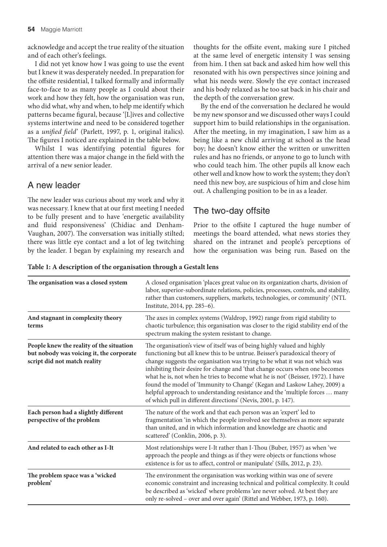acknowledge and accept the true reality of the situation and of each other's feelings.

I did not yet know how I was going to use the event but I knew it was desperately needed. In preparation for the offsite residential, I talked formally and informally face-to-face to as many people as I could about their work and how they felt, how the organisation was run, who did what, why and when, to help me identify which patterns became figural, because '[L]ives and collective systems intertwine and need to be considered together as a *unified field*' (Parlett, 1997, p. 1, original italics). The figures I noticed are explained in the table below.

Whilst I was identifying potential figures for attention there was a major change in the field with the arrival of a new senior leader.

# A new leader

The new leader was curious about my work and why it was necessary. I knew that at our first meeting I needed to be fully present and to have 'energetic availability and fluid responsiveness' (Chidiac and Denham-Vaughan, 2007). The conversation was initially stilted; there was little eye contact and a lot of leg twitching by the leader. I began by explaining my research and thoughts for the offsite event, making sure I pitched at the same level of energetic intensity I was sensing from him. I then sat back and asked him how well this resonated with his own perspectives since joining and what his needs were. Slowly the eye contact increased and his body relaxed as he too sat back in his chair and the depth of the conversation grew.

By the end of the conversation he declared he would be my new sponsor and we discussed other ways I could support him to build relationships in the organisation. After the meeting, in my imagination, I saw him as a being like a new child arriving at school as the head boy; he doesn't know either the written or unwritten rules and has no friends, or anyone to go to lunch with who could teach him. The other pupils all know each other well and know how to work the system; they don't need this new boy, are suspicious of him and close him out. A challenging position to be in as a leader.

# The two-day offsite

Prior to the offsite I captured the huge number of meetings the board attended, what news stories they shared on the intranet and people's perceptions of how the organisation was being run. Based on the

| The organisation was a closed system                                                                                 | A closed organisation 'places great value on its organization charts, division of<br>labor, superior-subordinate relations, policies, processes, controls, and stability,<br>rather than customers, suppliers, markets, technologies, or community' (NTL<br>Institute, 2014, pp. 285-6).<br>The axes in complex systems (Waldrop, 1992) range from rigid stability to<br>chaotic turbulence; this organisation was closer to the rigid stability end of the<br>spectrum making the system resistant to change.<br>The organisation's view of itself was of being highly valued and highly<br>functioning but all knew this to be untrue. Beisser's paradoxical theory of<br>change suggests the organisation was trying to be what it was not which was<br>inhibiting their desire for change and 'that change occurs when one becomes<br>what he is, not when he tries to become what he is not' (Beisser, 1972). I have<br>found the model of 'Immunity to Change' (Kegan and Laskow Lahey, 2009) a<br>helpful approach to understanding resistance and the 'multiple forces  many<br>of which pull in different directions' (Nevis, 2001, p. 147). |  |  |
|----------------------------------------------------------------------------------------------------------------------|-------------------------------------------------------------------------------------------------------------------------------------------------------------------------------------------------------------------------------------------------------------------------------------------------------------------------------------------------------------------------------------------------------------------------------------------------------------------------------------------------------------------------------------------------------------------------------------------------------------------------------------------------------------------------------------------------------------------------------------------------------------------------------------------------------------------------------------------------------------------------------------------------------------------------------------------------------------------------------------------------------------------------------------------------------------------------------------------------------------------------------------------------------|--|--|
| And stagnant in complexity theory<br>terms                                                                           |                                                                                                                                                                                                                                                                                                                                                                                                                                                                                                                                                                                                                                                                                                                                                                                                                                                                                                                                                                                                                                                                                                                                                       |  |  |
| People knew the reality of the situation<br>but nobody was voicing it, the corporate<br>script did not match reality |                                                                                                                                                                                                                                                                                                                                                                                                                                                                                                                                                                                                                                                                                                                                                                                                                                                                                                                                                                                                                                                                                                                                                       |  |  |
| Each person had a slightly different<br>perspective of the problem                                                   | The nature of the work and that each person was an 'expert' led to<br>fragmentation 'in which the people involved see themselves as more separate<br>than united, and in which information and knowledge are chaotic and<br>scattered' (Conklin, 2006, p. 3).                                                                                                                                                                                                                                                                                                                                                                                                                                                                                                                                                                                                                                                                                                                                                                                                                                                                                         |  |  |
| And related to each other as I-It                                                                                    | Most relationships were I-It rather than I-Thou (Buber, 1957) as when 'we<br>approach the people and things as if they were objects or functions whose<br>existence is for us to affect, control or manipulate' (Sills, 2012, p. 23).                                                                                                                                                                                                                                                                                                                                                                                                                                                                                                                                                                                                                                                                                                                                                                                                                                                                                                                 |  |  |
| The problem space was a 'wicked<br>problem'                                                                          | The environment the organisation was working within was one of severe<br>economic constraint and increasing technical and political complexity. It could<br>be described as 'wicked' where problems 'are never solved. At best they are<br>only re-solved - over and over again' (Rittel and Webber, 1973, p. 160).                                                                                                                                                                                                                                                                                                                                                                                                                                                                                                                                                                                                                                                                                                                                                                                                                                   |  |  |

**Table 1: A description of the organisation through a Gestalt lens**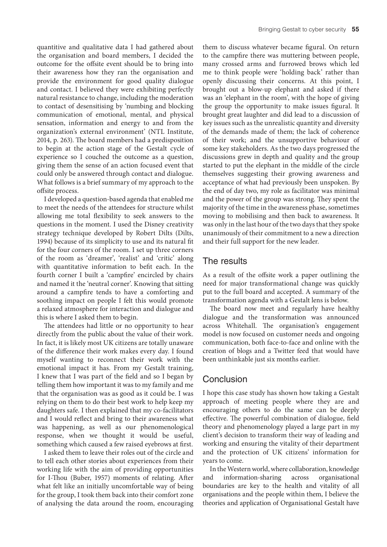quantitive and qualitative data I had gathered about the organisation and board members, I decided the outcome for the offsite event should be to bring into their awareness how they ran the organisation and provide the environment for good quality dialogue and contact. I believed they were exhibiting perfectly natural resistance to change, including the moderation to contact of desensitising by 'numbing and blocking communication of emotional, mental, and physical sensation, information and energy to and from the organization's external environment' (NTL Institute, 2014, p. 263). The board members had a predisposition to begin at the action stage of the Gestalt cycle of experience so I couched the outcome as a question, giving them the sense of an action focused event that could only be answered through contact and dialogue. What follows is a brief summary of my approach to the offsite process.

I developed a question-based agenda that enabled me to meet the needs of the attendees for structure whilst allowing me total flexibility to seek answers to the questions in the moment. I used the Disney creativity strategy technique developed by Robert Dilts (Dilts, 1994) because of its simplicity to use and its natural fit for the four corners of the room. I set up three corners of the room as 'dreamer', 'realist' and 'critic' along with quantitative information to befit each. In the fourth corner I built a 'campfire' encircled by chairs and named it the 'neutral corner'. Knowing that sitting around a campfire tends to have a comforting and soothing impact on people I felt this would promote a relaxed atmosphere for interaction and dialogue and this is where I asked them to begin.

The attendees had little or no opportunity to hear directly from the public about the value of their work. In fact, it is likely most UK citizens are totally unaware of the difference their work makes every day. I found myself wanting to reconnect their work with the emotional impact it has. From my Gestalt training, I knew that I was part of the field and so I began by telling them how important it was to my family and me that the organisation was as good as it could be. I was relying on them to do their best work to help keep my daughters safe. I then explained that my co-facilitators and I would reflect and bring to their awareness what was happening, as well as our phenomenological response, when we thought it would be useful, something which caused a few raised eyebrows at first.

I asked them to leave their roles out of the circle and to tell each other stories about experiences from their working life with the aim of providing opportunities for I-Thou (Buber, 1957) moments of relating. After what felt like an initially uncomfortable way of being for the group, I took them back into their comfort zone of analysing the data around the room, encouraging

them to discuss whatever became figural. On return to the campfire there was muttering between people, many crossed arms and furrowed brows which led me to think people were 'holding back' rather than openly discussing their concerns. At this point, I brought out a blow-up elephant and asked if there was an 'elephant in the room', with the hope of giving the group the opportunity to make issues figural. It brought great laughter and did lead to a discussion of key issues such as the unrealistic quantity and diversity of the demands made of them; the lack of coherence of their work; and the unsupportive behaviour of some key stakeholders. As the two days progressed the discussions grew in depth and quality and the group started to put the elephant in the middle of the circle themselves suggesting their growing awareness and acceptance of what had previously been unspoken. By the end of day two, my role as facilitator was minimal and the power of the group was strong. They spent the majority of the time in the awareness phase, sometimes moving to mobilising and then back to awareness. It was only in the last hour of the two days that they spoke unanimously of their commitment to a new a direction and their full support for the new leader.

#### The results

As a result of the offsite work a paper outlining the need for major transformational change was quickly put to the full board and accepted. A summary of the transformation agenda with a Gestalt lens is below.

The board now meet and regularly have healthy dialogue and the transformation was announced across Whitehall. The organisation's engagement model is now focused on customer needs and ongoing communication, both face-to-face and online with the creation of blogs and a Twitter feed that would have been unthinkable just six months earlier.

# **Conclusion**

I hope this case study has shown how taking a Gestalt approach of meeting people where they are and encouraging others to do the same can be deeply effective. The powerful combination of dialogue, field theory and phenomenology played a large part in my client's decision to transform their way of leading and working and ensuring the vitality of their department and the protection of UK citizens' information for years to come.

In the Western world, where collaboration, knowledge and information-sharing across organisational boundaries are key to the health and vitality of all organisations and the people within them, I believe the theories and application of Organisational Gestalt have